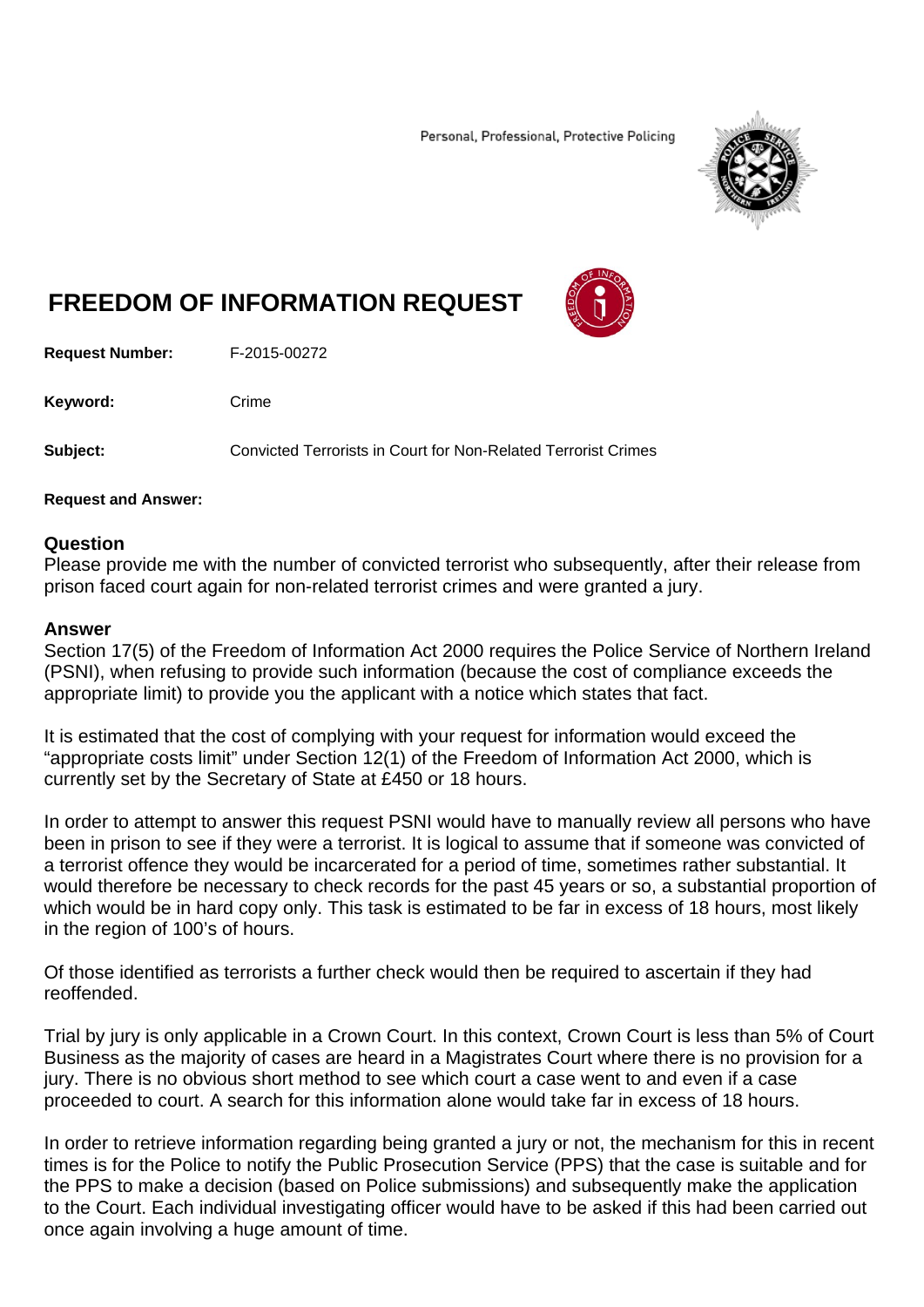Personal, Professional, Protective Policing



## **FREEDOM OF INFORMATION REQUEST**



**Request Number:** F-2015-00272

Keyword: Crime

**Subject:** Convicted Terrorists in Court for Non-Related Terrorist Crimes

## **Request and Answer:**

## **Question**

Please provide me with the number of convicted terrorist who subsequently, after their release from prison faced court again for non-related terrorist crimes and were granted a jury.

## **Answer**

Section 17(5) of the Freedom of Information Act 2000 requires the Police Service of Northern Ireland (PSNI), when refusing to provide such information (because the cost of compliance exceeds the appropriate limit) to provide you the applicant with a notice which states that fact.

It is estimated that the cost of complying with your request for information would exceed the "appropriate costs limit" under Section 12(1) of the Freedom of Information Act 2000, which is currently set by the Secretary of State at £450 or 18 hours.

In order to attempt to answer this request PSNI would have to manually review all persons who have been in prison to see if they were a terrorist. It is logical to assume that if someone was convicted of a terrorist offence they would be incarcerated for a period of time, sometimes rather substantial. It would therefore be necessary to check records for the past 45 years or so, a substantial proportion of which would be in hard copy only. This task is estimated to be far in excess of 18 hours, most likely in the region of 100's of hours.

Of those identified as terrorists a further check would then be required to ascertain if they had reoffended.

Trial by jury is only applicable in a Crown Court. In this context, Crown Court is less than 5% of Court Business as the majority of cases are heard in a Magistrates Court where there is no provision for a jury. There is no obvious short method to see which court a case went to and even if a case proceeded to court. A search for this information alone would take far in excess of 18 hours.

In order to retrieve information regarding being granted a jury or not, the mechanism for this in recent times is for the Police to notify the Public Prosecution Service (PPS) that the case is suitable and for the PPS to make a decision (based on Police submissions) and subsequently make the application to the Court. Each individual investigating officer would have to be asked if this had been carried out once again involving a huge amount of time.